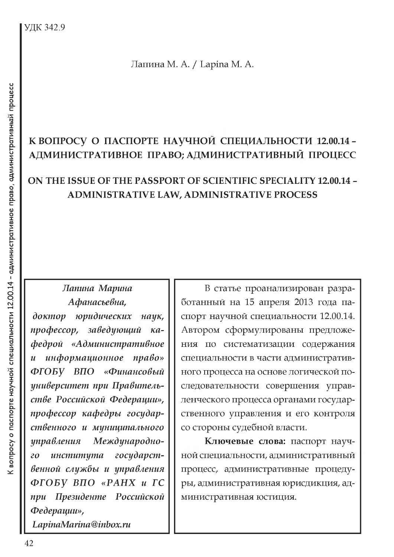Лапина М. А. / Lapina M. A.

## К ВОПРОСУ О ПАСПОРТЕ НАУЧНОЙ СПЕЦИАЛЬНОСТИ 12.00.14 -АДМИНИСТРАТИВНОЕ ПРАВО; АДМИНИСТРАТИВНЫЙ ПРОЦЕСС

## ON THE ISSUE OF THE PASSPORT OF SCIENTIFIC SPECIALITY 12.00.14 -**ADMINISTRATIVE LAW, ADMINISTRATIVE PROCESS**

## Лапина Марина Афанасьевна,

доктор юридических наик, заведующий  $npo$ *deccop*,  $\kappa a$ федрой «Административное информационное право»  $\mathbf{u}$ ФГОБУ ВПО «Финансовый университет при Правительстве Российской Федерации», профессор кафедры государственного и муниципального управления Международноинститута государст- $20<sup>2</sup>$ венной службы и управления ФГОБУ ВПО «РАНХ и ГС при Президенте Российской Федерации», LapinaMarina@inbox.ru

В статье проанализирован разработанный на 15 апреля 2013 года паспорт научной специальности 12.00.14. Автором сформулированы предложения по систематизации содержания специальности в части административного процесса на основе логической последовательности совершения управленческого процесса органами государственного управления и его контроля со стороны судебной власти.

Ключевые слова: паспорт научной специальности, административный процесс, административные процедуры, административная юрисдикция, административная юстиция.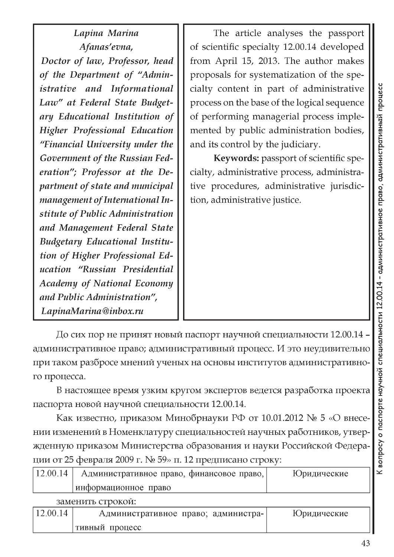*Lapina Marina Afanas'evna, Doctor of law, Professor, head of the Department of "Administrative and Informational Law" at Federal State Budgetary Educational Institution of Higher Professional Education "Financial University under the Government of the Russian Federation"; Professor at the Department of state and municipal management of International Institute of Public Administration and Management Federal State Budgetary Educational Institution of Higher Professional Education "Russian Presidential Academy of National Economy and Public Administration", [LapinaMarina@inbox.ru](mailto:LapinaMarina@inbox.ru)*

The article analyses the passport of scientific specialty 12.00.14 developed from April 15, 2013. The author makes proposals for systematization of the specialty content in part of administrative process on the base of the logical sequence of performing managerial process implemented by public administration bodies, and its control by the judiciary.

**Keywords:** passport of scientific specialty, administrative process, administrative procedures, administrative jurisdiction, administrative justice.

До сих пор не принят новый паспорт научной специальности 12.00.14 административное право; административный процесс. И это неудивительно при таком разбросе мнений ученых на основы институтов административного процесса.

В настоящее время узким кругом экспертов ведется разработка проекта паспорта новой научной специальности 12.00.14.

Как известно, приказом Минобрнауки РФ от 10.01.2012 № 5 «О внесении изменений в Номенклатуру специальностей научных работников, утвержденную приказом Министерства образования и науки Российской Федерации от 25 февраля 2009 г. № 59» п. 12 предписано строку:

| 12.00.14          | Административное право, финансовое право, | Юридические |
|-------------------|-------------------------------------------|-------------|
|                   | информационное право                      |             |
| заменить строкой: |                                           |             |
| 12.00.14          | Административное право; администра-       | Юридические |
|                   | тивный процесс                            |             |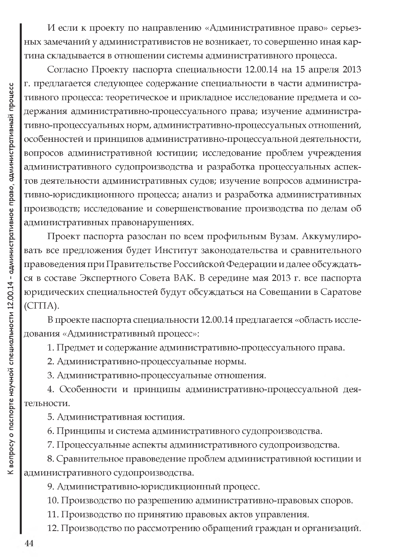И если к проекту по направлению «Административное право» серьезных замечаний у административистов не возникает, то совершенно иная картина складывается в отношении системы административного процесса.

Согласно Проекту паспорта специальности 12.00.14 на 15 апреля 2013 г. предлагается следующее содержание специальности в части административного процесса: теоретическое и прикладное исследование предмета и содержания административно-процессуального права; изучение административно-процессуальных норм, административно-процессуальных отношений, особенностей и принципов административно-процессуальной деятельности, вопросов административной юстиции; исследование проблем учреждения административного судопроизводства и разработка процессуальных аспектов деятельности административных судов; изучение вопросов административно-юрисдикционного процесса; анализ и разработка административных производств; исследование и совершенствование производства по делам об административных правонарушениях.

Проект паспорта разослан по всем профильным Вузам. Аккумулировать все предложения будет Институт законодательства и сравнительного правоведения при Правительстве Российской Федерации и далее обсуждаться в составе Экспертного Совета ВАК. В середине мая 2013 г. все паспорта юридических специальностей будут обсуждаться на Совещании в Саратове  $(CTTA).$ 

В проекте паспорта специальности 12.00.14 предлагается «область исследования «Административный процесс»:

1. Предмет и содержание административно-процессуального права.

2. Административно-процессуальные нормы.

3. Административно-процессуальные отношения.

4. Особенности и принципы административно-процессуальной деятельности.

5. Административная юстиция.

6. Принципы и система административного судопроизводства.

7. Процессуальные аспекты административного судопроизводства.

8. Сравнительное правоведение проблем административной юстиции и административного судопроизводства.

9. Административно-юрисдикционный процесс.

10. Производство по разрешению административно-правовых споров.

11. Производство по принятию правовых актов управления.

12. Производство по рассмотрению обращений граждан и организаций.

 $\overline{\mathbf{Y}}$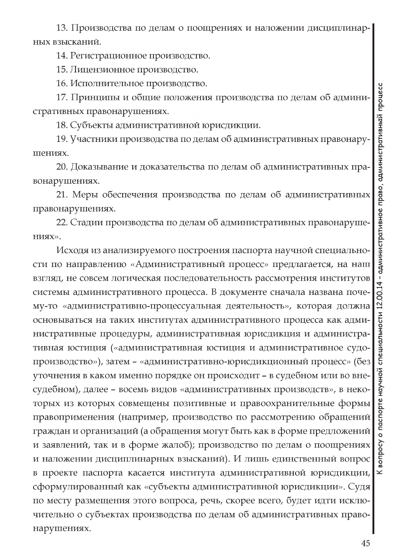13. Производства по делам о поощрениях и наложении дисциплинарных взысканий.

14. Регистрационное производство.

15. Лицензионное производство.

16. Исполнительное производство.

17. Принципы и общие положения производства по делам об административных правонарушениях.

18. Субъекты административной юрисдикции.

19. Участники производства по делам об административных правонарушениях.

20. Доказывание и доказательства по делам об административных правонарушениях.

21. Меры обеспечения производства по делам об административных правонарушениях.

22. Стадии производства по делам об административных правонаруше-НИЯХ».

Исходя из анализируемого построения паспорта научной специальности по направлению «Административный процесс» предлагается, на наш взгляд, не совсем логическая последовательность рассмотрения институтов системы административного процесса. В документе сначала названа почему-то «административно-процессуальная деятельность», которая должна основываться на таких институтах административного процесса как административные процедуры, административная юрисдикция и административная юстиция («административная юстиция и административное судопроизводство»), затем - «административно-юрисдикционный процесс» (без уточнения в каком именно порядке он происходит - в судебном или во внесудебном), далее - восемь видов «административных производств», в некоторых из которых совмещены позитивные и правоохранительные формы правоприменения (например, производство по рассмотрению обращений граждан и организаций (а обращения могут быть как в форме предложений и заявлений, так и в форме жалоб); производство по делам о поощрениях и наложении дисциплинарных взысканий). И лишь единственный вопрос в проекте паспорта касается института административной юрисдикции, сформулированный как «субъекты административной юрисдикции». Судя по месту размещения этого вопроса, речь, скорее всего, будет идти исключительно о субъектах производства по делам об административных правонарушениях.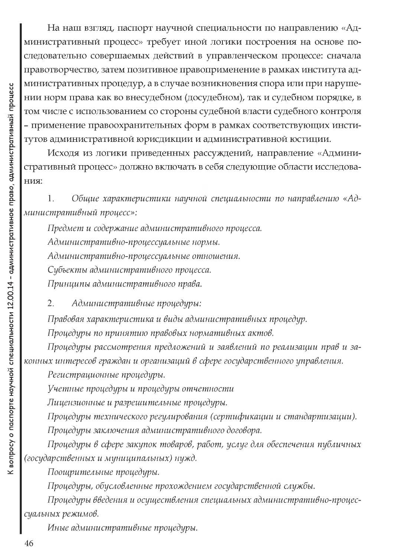На наш взгляд, паспорт научной специальности по направлению «Административный процесс» требует иной логики построения на основе последовательно совершаемых действий в управленческом процессе: сначала правотворчество, затем позитивное правоприменение в рамках института административных процедур, а в случае возникновения спора или при нарушении норм права как во внесудебном (досудебном), так и судебном порядке, в том числе с использованием со стороны судебной власти судебного контроля - применение правоохранительных форм в рамках соответствующих институтов административной юрисдикции и административной юстиции.

Исходя из логики приведенных рассуждений, направление «Административный процесс» должно включать в себя следующие области исследова-НИЯ:

Общие характеристики научной специальности по направлению «Ад- $1.$ министративный процесс»:

Предмет и содержание административного процесса. Административно-процессуальные нормы. Административно-процессуальные отношения. Субъекты административного процесса. Принципы административного права.

Административные процедуры: 2.

Правовая характеристика и виды административных процедур.

Процедуры по принятию правовых нормативных актов.

Процедуры рассмотрения предложений и заявлений по реализации прав и законных интересов граждан и организаций в сфере государственного управления.

Регистрационные процедуры.

Учетные процедуры и процедуры отчетности

Лицензионные и разрешительные процедуры.

Процедуры технического регулирования (сертификации и стандартизации).

Процедуры заключения административного договора.

Процедуры в сфере закупок товаров, работ, услуг для обеспечения публичных (государственных и муниципальных) нужд.

Поощрительные процедуры.

Процедуры, обусловленные прохождением государственной службы.

Процедуры введения и осуществления специальных административно-процессуальных режимов.

Иные административные процедуры.